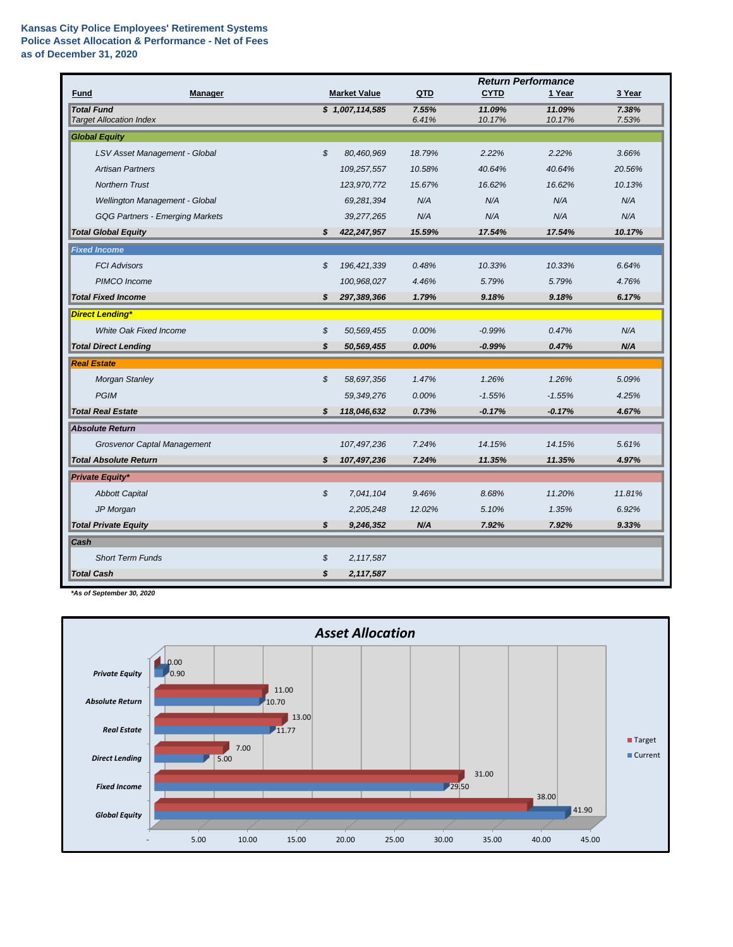## **Kansas City Police Employees' Retirement Systems Police Asset Allocation & Performance - Net of Fees as of December 31, 2020**

|                                                     |                                        |    |                     |                | <b>Return Performance</b> |                  |                |  |
|-----------------------------------------------------|----------------------------------------|----|---------------------|----------------|---------------------------|------------------|----------------|--|
| Fund                                                | Manager                                |    | <b>Market Value</b> | QTD            | <b>CYTD</b>               | 1 Year           | 3 Year         |  |
| <b>Total Fund</b><br><b>Target Allocation Index</b> |                                        |    | \$1,007,114,585     | 7.55%<br>6.41% | 11.09%<br>10.17%          | 11.09%<br>10.17% | 7.38%<br>7.53% |  |
| <b>Global Equity</b>                                |                                        |    |                     |                |                           |                  |                |  |
|                                                     | LSV Asset Management - Global          | \$ | 80,460,969          | 18.79%         | 2.22%                     | 2.22%            | 3.66%          |  |
|                                                     | <b>Artisan Partners</b>                |    | 109,257,557         | 10.58%         | 40.64%                    | 40.64%           | 20.56%         |  |
|                                                     |                                        |    |                     |                |                           |                  |                |  |
|                                                     | <b>Northern Trust</b>                  |    | 123,970,772         | 15.67%         | 16.62%                    | 16.62%           | 10.13%         |  |
|                                                     | Wellington Management - Global         |    | 69,281,394          | N/A            | N/A                       | N/A              | N/A            |  |
|                                                     | <b>GQG Partners - Emerging Markets</b> |    | 39,277,265          | N/A            | N/A                       | N/A              | N/A            |  |
| <b>Total Global Equity</b>                          |                                        | \$ | 422,247,957         | 15.59%         | 17.54%                    | 17.54%           | 10.17%         |  |
| <b>Fixed Income</b>                                 |                                        |    |                     |                |                           |                  |                |  |
| <b>FCI Advisors</b>                                 |                                        | \$ | 196, 421, 339       | 0.48%          | 10.33%                    | 10.33%           | 6.64%          |  |
|                                                     | PIMCO Income                           |    | 100,968,027         | 4.46%          | 5.79%                     | 5.79%            | 4.76%          |  |
| <b>Total Fixed Income</b>                           |                                        | \$ | 297,389,366         | 1.79%          | 9.18%                     | 9.18%            | 6.17%          |  |
| <b>Direct Lending*</b>                              |                                        |    |                     |                |                           |                  |                |  |
|                                                     | White Oak Fixed Income                 | \$ | 50,569,455          | 0.00%          | $-0.99%$                  | 0.47%            | N/A            |  |
| <b>Total Direct Lending</b>                         |                                        | \$ | 50,569,455          | 0.00%          | $-0.99%$                  | 0.47%            | N/A            |  |
| <b>Real Estate</b>                                  |                                        |    |                     |                |                           |                  |                |  |
|                                                     | <b>Morgan Stanley</b>                  | \$ | 58,697,356          | 1.47%          | 1.26%                     | 1.26%            | 5.09%          |  |
| <b>PGIM</b>                                         |                                        |    | 59,349,276          | 0.00%          | $-1.55%$                  | $-1.55%$         | 4.25%          |  |
| <b>Total Real Estate</b>                            |                                        | \$ | 118,046,632         | 0.73%          | $-0.17%$                  | $-0.17%$         | 4.67%          |  |
| <b>Absolute Return</b>                              |                                        |    |                     |                |                           |                  |                |  |
|                                                     | Grosvenor Captal Management            |    | 107,497,236         | 7.24%          | 14.15%                    | 14.15%           | 5.61%          |  |
| <b>Total Absolute Return</b>                        |                                        | \$ | 107,497,236         | 7.24%          | 11.35%                    | 11.35%           | 4.97%          |  |
| Private Equity*                                     |                                        |    |                     |                |                           |                  |                |  |
|                                                     | <b>Abbott Capital</b>                  | \$ | 7,041,104           | 9.46%          | 8.68%                     | 11.20%           | 11.81%         |  |
| JP Morgan                                           |                                        |    | 2,205,248           | 12.02%         | 5.10%                     | 1.35%            | 6.92%          |  |
| <b>Total Private Equity</b>                         |                                        | \$ | 9,246,352           | N/A            | 7.92%                     | 7.92%            | 9.33%          |  |
| Cash                                                |                                        |    |                     |                |                           |                  |                |  |
|                                                     | <b>Short Term Funds</b>                | \$ | 2,117,587           |                |                           |                  |                |  |
| <b>Total Cash</b>                                   |                                        | \$ | 2,117,587           |                |                           |                  |                |  |
|                                                     |                                        |    |                     |                |                           |                  |                |  |

*\*As of September 30, 2020*